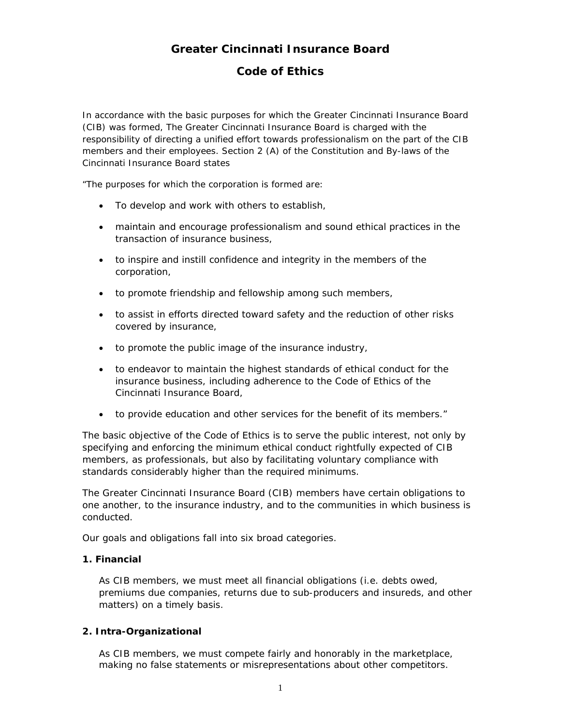# **Greater Cincinnati Insurance Board**

## **Code of Ethics**

In accordance with the basic purposes for which the Greater Cincinnati Insurance Board (CIB) was formed, The Greater Cincinnati Insurance Board is charged with the responsibility of directing a unified effort towards professionalism on the part of the CIB members and their employees. Section 2 (A) of the Constitution and By-laws of the Cincinnati Insurance Board states

"The purposes for which the corporation is formed are:

- To develop and work with others to establish,
- maintain and encourage professionalism and sound ethical practices in the transaction of insurance business,
- to inspire and instill confidence and integrity in the members of the corporation,
- to promote friendship and fellowship among such members,
- to assist in efforts directed toward safety and the reduction of other risks covered by insurance,
- to promote the public image of the insurance industry,
- to endeavor to maintain the highest standards of ethical conduct for the insurance business, including adherence to the Code of Ethics of the Cincinnati Insurance Board,
- to provide education and other services for the benefit of its members."

The basic objective of the Code of Ethics is to serve the public interest, not only by specifying and enforcing the minimum ethical conduct rightfully expected of CIB members, as professionals, but also by facilitating voluntary compliance with standards considerably higher than the required minimums.

The Greater Cincinnati Insurance Board (CIB) members have certain obligations to one another, to the insurance industry, and to the communities in which business is conducted.

Our goals and obligations fall into six broad categories.

#### **1. Financial**

As CIB members, we must meet all financial obligations (i.e. debts owed, premiums due companies, returns due to sub-producers and insureds, and other matters) on a timely basis.

#### **2. Intra-Organizational**

As CIB members, we must compete fairly and honorably in the marketplace, making no false statements or misrepresentations about other competitors.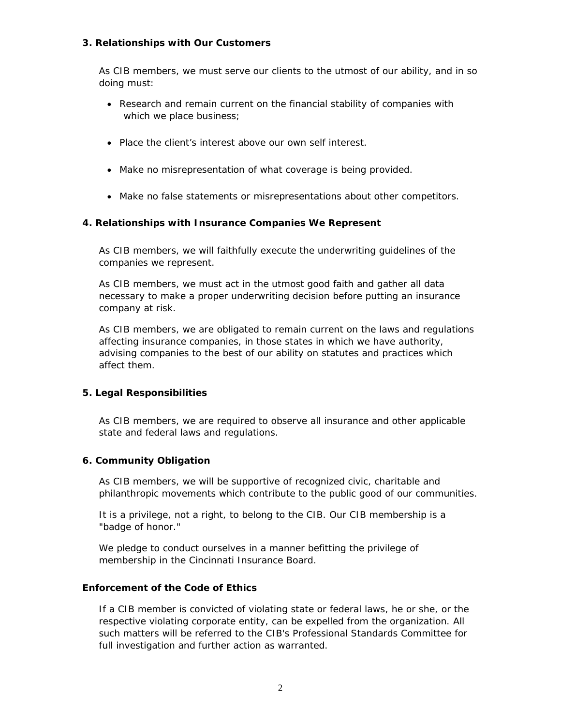## **3. Relationships with Our Customers**

As CIB members, we must serve our clients to the utmost of our ability, and in so doing must:

- Research and remain current on the financial stability of companies with which we place business;
- Place the client's interest above our own self interest.
- Make no misrepresentation of what coverage is being provided.
- Make no false statements or misrepresentations about other competitors.

## **4. Relationships with Insurance Companies We Represent**

As CIB members, we will faithfully execute the underwriting guidelines of the companies we represent.

As CIB members, we must act in the utmost good faith and gather all data necessary to make a proper underwriting decision before putting an insurance company at risk.

As CIB members, we are obligated to remain current on the laws and regulations affecting insurance companies, in those states in which we have authority, advising companies to the best of our ability on statutes and practices which affect them.

#### **5. Legal Responsibilities**

As CIB members, we are required to observe all insurance and other applicable state and federal laws and regulations.

#### **6. Community Obligation**

As CIB members, we will be supportive of recognized civic, charitable and philanthropic movements which contribute to the public good of our communities.

It is a privilege, not a right, to belong to the CIB. Our CIB membership is a "badge of honor."

We pledge to conduct ourselves in a manner befitting the privilege of membership in the Cincinnati Insurance Board.

#### **Enforcement of the Code of Ethics**

If a CIB member is convicted of violating state or federal laws, he or she, or the respective violating corporate entity, can be expelled from the organization. All such matters will be referred to the CIB's Professional Standards Committee for full investigation and further action as warranted.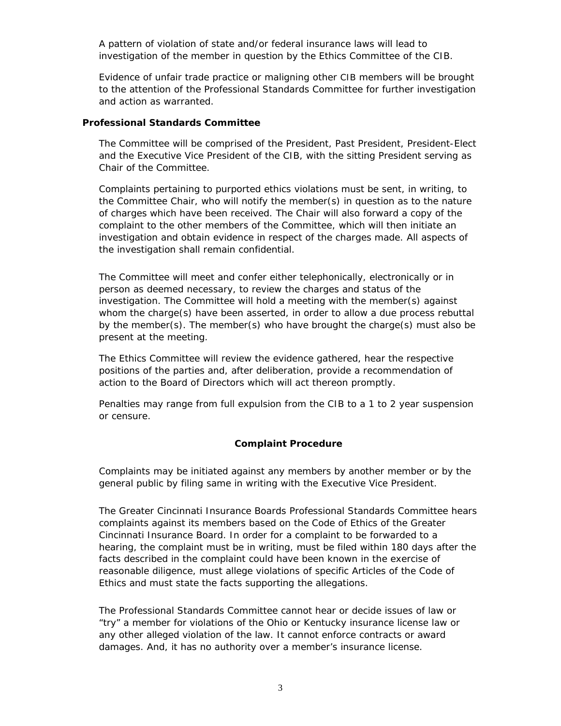A pattern of violation of state and/or federal insurance laws will lead to investigation of the member in question by the Ethics Committee of the CIB.

Evidence of unfair trade practice or maligning other CIB members will be brought to the attention of the Professional Standards Committee for further investigation and action as warranted.

#### **Professional Standards Committee**

The Committee will be comprised of the President, Past President, President-Elect and the Executive Vice President of the CIB, with the sitting President serving as Chair of the Committee.

Complaints pertaining to purported ethics violations must be sent, in writing, to the Committee Chair, who will notify the member(s) in question as to the nature of charges which have been received. The Chair will also forward a copy of the complaint to the other members of the Committee, which will then initiate an investigation and obtain evidence in respect of the charges made. All aspects of the investigation shall remain confidential.

The Committee will meet and confer either telephonically, electronically or in person as deemed necessary, to review the charges and status of the investigation. The Committee will hold a meeting with the member(s) against whom the charge(s) have been asserted, in order to allow a due process rebuttal by the member(s). The member(s) who have brought the charge(s) must also be present at the meeting.

The Ethics Committee will review the evidence gathered, hear the respective positions of the parties and, after deliberation, provide a recommendation of action to the Board of Directors which will act thereon promptly.

Penalties may range from full expulsion from the CIB to a 1 to 2 year suspension or censure.

#### **Complaint Procedure**

Complaints may be initiated against any members by another member or by the general public by filing same in writing with the Executive Vice President.

The Greater Cincinnati Insurance Boards Professional Standards Committee hears complaints against its members based on the *Code of Ethics* of the Greater Cincinnati Insurance Board. In order for a complaint to be forwarded to a hearing, the complaint must be in writing, must be filed within 180 days after the facts described in the complaint could have been known in the exercise of reasonable diligence, must allege violations of specific Articles of the Code of Ethics and must state the facts supporting the allegations.

The Professional Standards Committee *cannot* hear or decide issues of law or "try" a member for violations of the Ohio or Kentucky insurance license law or any other alleged violation of the law. It cannot enforce contracts or award damages. And, it has no authority over a member's insurance license.